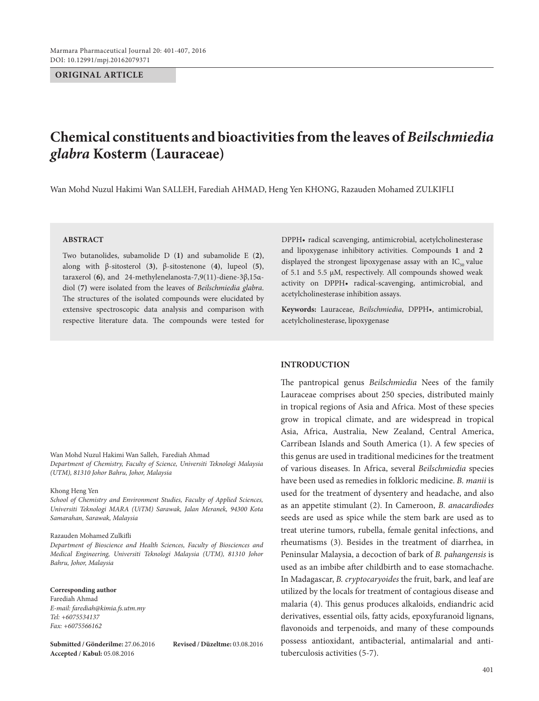# **ORIGINAL ARTICLE**

# **Chemical constituents and bioactivities from the leaves of** *Beilschmiedia glabra* **Kosterm (Lauraceae)**

Wan Mohd Nuzul Hakimi Wan SALLEH, Farediah AHMAD, Heng Yen KHONG, Razauden Mohamed ZULKIFLI

# **ABSTRACT**

Two butanolides, subamolide D (**1)** and subamolide E (**2)**, along with β-sitosterol (**3)**, β-sitostenone (**4)**, lupeol (**5)**, taraxerol (**6)**, and 24-methylenelanosta-7,9(11)-diene-3β,15αdiol (**7)** were isolated from the leaves of *Beilschmiedia glabra*. The structures of the isolated compounds were elucidated by extensive spectroscopic data analysis and comparison with respective literature data. The compounds were tested for DPPH• radical scavenging, antimicrobial, acetylcholinesterase and lipoxygenase inhibitory activities. Compounds **1** and **2** displayed the strongest lipoxygenase assay with an  $IC_{50}$  value of 5.1 and 5.5 μM, respectively. All compounds showed weak activity on DPPH• radical-scavenging, antimicrobial, and acetylcholinesterase inhibition assays.

**Keywords:** Lauraceae, *Beilschmiedia*, DPPH•, antimicrobial, acetylcholinesterase, lipoxygenase

#### **INTRODUCTION**

The pantropical genus *Beilschmiedia* Nees of the family Lauraceae comprises about 250 species, distributed mainly in tropical regions of Asia and Africa. Most of these species grow in tropical climate, and are widespread in tropical Asia, Africa, Australia, New Zealand, Central America, Carribean Islands and South America (1). A few species of this genus are used in traditional medicines for the treatment of various diseases. In Africa, several *Beilschmiedia* species have been used as remedies in folkloric medicine. *B. manii* is used for the treatment of dysentery and headache, and also as an appetite stimulant (2). In Cameroon, *B. anacardiodes* seeds are used as spice while the stem bark are used as to treat uterine tumors, rubella, female genital infections, and rheumatisms (3). Besides in the treatment of diarrhea, in Peninsular Malaysia, a decoction of bark of *B. pahangensis* is used as an imbibe after childbirth and to ease stomachache. In Madagascar, *B. cryptocaryoides* the fruit, bark, and leaf are utilized by the locals for treatment of contagious disease and malaria (4). This genus produces alkaloids, endiandric acid derivatives, essential oils, fatty acids, epoxyfuranoid lignans, flavonoids and terpenoids, and many of these compounds possess antioxidant, antibacterial, antimalarial and antituberculosis activities (5-7).

Wan Mohd Nuzul Hakimi Wan Salleh, Farediah Ahmad *Department of Chemistry, Faculty of Science, Universiti Teknologi Malaysia (UTM), 81310 Johor Bahru, Johor, Malaysia*

#### Khong Heng Yen

*School of Chemistry and Environment Studies, Faculty of Applied Sciences, Universiti Teknologi MARA (UiTM) Sarawak, Jalan Meranek, 94300 Kota Samarahan, Sarawak, Malaysia*

#### Razauden Mohamed Zulkifli

*Department of Bioscience and Health Sciences, Faculty of Biosciences and Medical Engineering, Universiti Teknologi Malaysia (UTM), 81310 Johor Bahru, Johor, Malaysia*

#### **Corresponding author**

Farediah Ahmad *E-mail: farediah@kimia.fs.utm.my Tel: +6075534137 Fax: +6075566162*

**Submitted / Gönderilme:** 27.06.2016 **Revised / Düzeltme:** 03.08.2016 **Accepted / Kabul:** 05.08.2016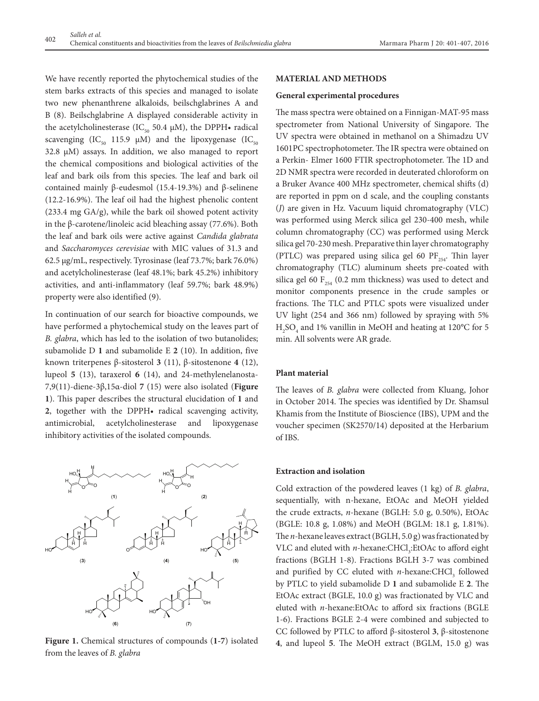We have recently reported the phytochemical studies of the stem barks extracts of this species and managed to isolate two new phenanthrene alkaloids, beilschglabrines A and B (8). Beilschglabrine A displayed considerable activity in the acetylcholinesterase (IC<sub>50</sub> 50.4  $\mu$ M), the DPPH• radical scavenging (IC<sub>50</sub> 115.9  $\mu$ M) and the lipoxygenase (IC<sub>50</sub> 32.8 µM) assays. In addition, we also managed to report the chemical compositions and biological activities of the leaf and bark oils from this species. The leaf and bark oil contained mainly β-eudesmol (15.4-19.3%) and β-selinene (12.2-16.9%). The leaf oil had the highest phenolic content (233.4 mg GA/g), while the bark oil showed potent activity in the β-carotene/linoleic acid bleaching assay (77.6%). Both the leaf and bark oils were active against *Candida glabrata*  and *Saccharomyces cerevisiae* with MIC values of 31.3 and 62.5 µg/mL, respectively. Tyrosinase (leaf 73.7%; bark 76.0%) and acetylcholinesterase (leaf 48.1%; bark 45.2%) inhibitory activities, and anti-inflammatory (leaf 59.7%; bark 48.9%) property were also identified (9).

In continuation of our search for bioactive compounds, we have performed a phytochemical study on the leaves part of *B. glabra*, which has led to the isolation of two butanolides; subamolide D **1** and subamolide E **2** (10). In addition, five known triterpenes β-sitosterol **3** (11), β-sitostenone **4** (12), lupeol **5** (13), taraxerol **6** (14), and 24-methylenelanosta-7,9(11)-diene-3β,15α-diol **7** (15) were also isolated (**Figure 1**). This paper describes the structural elucidation of **1** and **2**, together with the DPPH• radical scavenging activity, antimicrobial, acetylcholinesterase and lipoxygenase inhibitory activities of the isolated compounds.



**Figure 1.** Chemical structures of compounds (**1-7**) isolated from the leaves of *B. glabra*

# **MATERIAL AND METHODS**

#### **General experimental procedures**

The mass spectra were obtained on a Finnigan-MAT-95 mass spectrometer from National University of Singapore. The UV spectra were obtained in methanol on a Shimadzu UV 1601PC spectrophotometer. The IR spectra were obtained on a Perkin- Elmer 1600 FTIR spectrophotometer. The 1D and 2D NMR spectra were recorded in deuterated chloroform on a Bruker Avance 400 MHz spectrometer, chemical shifts (d) are reported in ppm on d scale, and the coupling constants (*J*) are given in Hz. Vacuum liquid chromatography (VLC) was performed using Merck silica gel 230-400 mesh, while column chromatography (CC) was performed using Merck silica gel 70-230 mesh. Preparative thin layer chromatography (PTLC) was prepared using silica gel 60  $PF_{254}$ . Thin layer chromatography (TLC) aluminum sheets pre-coated with silica gel 60  $F_{254}$  (0.2 mm thickness) was used to detect and monitor components presence in the crude samples or fractions. The TLC and PTLC spots were visualized under UV light (254 and 366 nm) followed by spraying with 5%  $\rm H_2SO_4$  and 1% vanillin in MeOH and heating at 120°C for 5 min. All solvents were AR grade.

# **Plant material**

The leaves of *B. glabra* were collected from Kluang, Johor in October 2014. The species was identified by Dr. Shamsul Khamis from the Institute of Bioscience (IBS), UPM and the voucher specimen (SK2570/14) deposited at the Herbarium of IBS.

# **Extraction and isolation**

Cold extraction of the powdered leaves (1 kg) of *B. glabra*, sequentially, with n-hexane, EtOAc and MeOH yielded the crude extracts, *n*-hexane (BGLH: 5.0 g, 0.50%), EtOAc (BGLE: 10.8 g, 1.08%) and MeOH (BGLM: 18.1 g, 1.81%). The *n*-hexane leaves extract (BGLH, 5.0 g) was fractionated by VLC and eluted with *n*-hexane:CHCl<sub>3</sub>:EtOAc to afford eight fractions (BGLH 1-8). Fractions BGLH 3-7 was combined and purified by CC eluted with *n*-hexane:CHCl<sub>3</sub> followed by PTLC to yield subamolide D **1** and subamolide E **2**. The EtOAc extract (BGLE, 10.0 g) was fractionated by VLC and eluted with *n*-hexane:EtOAc to afford six fractions (BGLE 1-6). Fractions BGLE 2-4 were combined and subjected to CC followed by PTLC to afford β-sitosterol **3**, β-sitostenone **4**, and lupeol **5**. The MeOH extract (BGLM, 15.0 g) was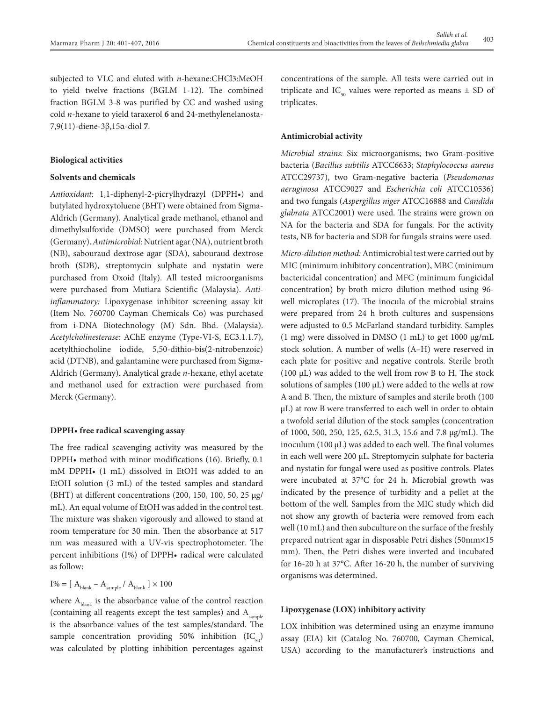subjected to VLC and eluted with *n*-hexane:CHCl3:MeOH to yield twelve fractions (BGLM 1-12). The combined fraction BGLM 3-8 was purified by CC and washed using cold *n*-hexane to yield taraxerol **6** and 24-methylenelanosta-7,9(11)-diene-3β,15α-diol **7**.

# **Biological activities**

# **Solvents and chemicals**

*Antioxidant:* 1,1-diphenyl-2-picrylhydrazyl (DPPH•) and butylated hydroxytoluene (BHT) were obtained from Sigma-Aldrich (Germany). Analytical grade methanol, ethanol and dimethylsulfoxide (DMSO) were purchased from Merck (Germany). *Antimicrobial:* Nutrient agar (NA), nutrient broth (NB), sabouraud dextrose agar (SDA), sabouraud dextrose broth (SDB), streptomycin sulphate and nystatin were purchased from Oxoid (Italy). All tested microorganisms were purchased from Mutiara Scientific (Malaysia). *Antiinflammatory:* Lipoxygenase inhibitor screening assay kit (Item No. 760700 Cayman Chemicals Co) was purchased from i-DNA Biotechnology (M) Sdn. Bhd. (Malaysia). *Acetylcholinesterase:* AChE enzyme (Type-VI-S, EC3.1.1.7), acetylthiocholine iodide, 5,50-dithio-bis(2-nitrobenzoic) acid (DTNB), and galantamine were purchased from Sigma-Aldrich (Germany). Analytical grade *n*-hexane, ethyl acetate and methanol used for extraction were purchased from Merck (Germany).

## **DPPH• free radical scavenging assay**

The free radical scavenging activity was measured by the DPPH• method with minor modifications (16). Briefly, 0.1 mM DPPH• (1 mL) dissolved in EtOH was added to an EtOH solution (3 mL) of the tested samples and standard (BHT) at different concentrations (200, 150, 100, 50, 25 μg/ mL). An equal volume of EtOH was added in the control test. The mixture was shaken vigorously and allowed to stand at room temperature for 30 min. Then the absorbance at 517 nm was measured with a UV-vis spectrophotometer. The percent inhibitions (I%) of DPPH• radical were calculated as follow:

$$
\rm I\% = [\ A_{blank} - A_{sample} \ /\ A_{blank} \ ] \times 100
$$

where  $A<sub>blank</sub>$  is the absorbance value of the control reaction (containing all reagents except the test samples) and  $A_{sample}$ is the absorbance values of the test samples/standard. The sample concentration providing 50% inhibition  $(IC_{50})$ was calculated by plotting inhibition percentages against concentrations of the sample. All tests were carried out in triplicate and IC<sub>50</sub> values were reported as means  $\pm$  SD of triplicates.

#### **Antimicrobial activity**

*Microbial strains:* Six microorganisms; two Gram-positive bacteria (*Bacillus subtilis* ATCC6633; *Staphylococcus aureus* ATCC29737), two Gram-negative bacteria (*Pseudomonas aeruginosa* ATCC9027 and *Escherichia coli* ATCC10536) and two fungals (*Aspergillus niger* ATCC16888 and *Candida glabrata* ATCC2001) were used. The strains were grown on NA for the bacteria and SDA for fungals. For the activity tests, NB for bacteria and SDB for fungals strains were used.

*Micro-dilution method:*Antimicrobial test were carried out by MIC (minimum inhibitory concentration), MBC (minimum bactericidal concentration) and MFC (minimum fungicidal concentration) by broth micro dilution method using 96 well microplates (17). The inocula of the microbial strains were prepared from 24 h broth cultures and suspensions were adjusted to 0.5 McFarland standard turbidity. Samples (1 mg) were dissolved in DMSO (1 mL) to get 1000 μg/mL stock solution. A number of wells (A–H) were reserved in each plate for positive and negative controls. Sterile broth (100 μL) was added to the well from row B to H. The stock solutions of samples (100 μL) were added to the wells at row A and B. Then, the mixture of samples and sterile broth (100 μL) at row B were transferred to each well in order to obtain a twofold serial dilution of the stock samples (concentration of 1000, 500, 250, 125, 62.5, 31.3, 15.6 and 7.8 μg/mL). The inoculum (100 μL) was added to each well. The final volumes in each well were 200 μL. Streptomycin sulphate for bacteria and nystatin for fungal were used as positive controls. Plates were incubated at 37°C for 24 h. Microbial growth was indicated by the presence of turbidity and a pellet at the bottom of the well. Samples from the MIC study which did not show any growth of bacteria were removed from each well (10 mL) and then subculture on the surface of the freshly prepared nutrient agar in disposable Petri dishes (50mm×15 mm). Then, the Petri dishes were inverted and incubated for 16-20 h at 37°C. After 16-20 h, the number of surviving organisms was determined.

#### **Lipoxygenase (LOX) inhibitory activity**

LOX inhibition was determined using an enzyme immuno assay (EIA) kit (Catalog No. 760700, Cayman Chemical, USA) according to the manufacturer's instructions and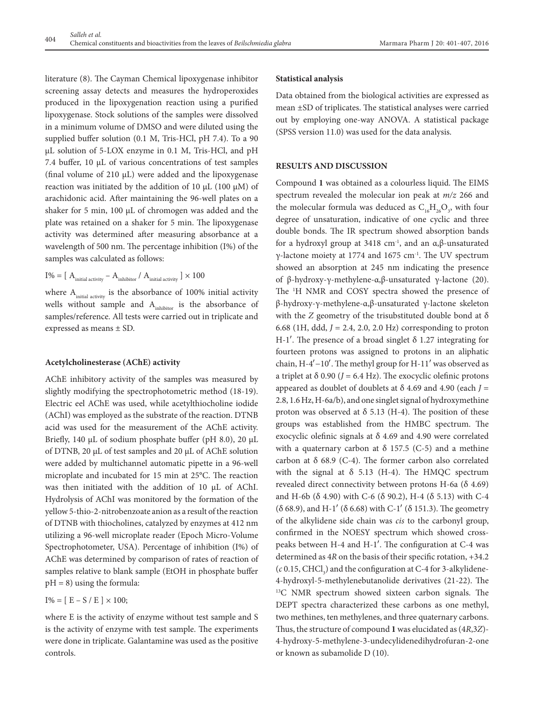literature (8). The Cayman Chemical lipoxygenase inhibitor screening assay detects and measures the hydroperoxides produced in the lipoxygenation reaction using a purified lipoxygenase. Stock solutions of the samples were dissolved in a minimum volume of DMSO and were diluted using the supplied buffer solution (0.1 M, Tris-HCl, pH 7.4). To a 90 µL solution of 5-LOX enzyme in 0.1 M, Tris-HCl, and pH 7.4 buffer, 10 µL of various concentrations of test samples (final volume of 210 µL) were added and the lipoxygenase reaction was initiated by the addition of 10  $\mu$ L (100  $\mu$ M) of arachidonic acid. After maintaining the 96-well plates on a shaker for 5 min,  $100 \mu L$  of chromogen was added and the plate was retained on a shaker for 5 min. The lipoxygenase activity was determined after measuring absorbance at a wavelength of 500 nm. The percentage inhibition (I%) of the samples was calculated as follows:

I% = [ 
$$
A_{initial\ activity} - A_{inhibitor} / A_{initial\ activity}] \times 100
$$

where  $A_{initial\, activity}$  is the absorbance of 100% initial activity wells without sample and  $A<sub>inhibitor</sub>$  is the absorbance of samples/reference. All tests were carried out in triplicate and expressed as means ± SD.

# **Acetylcholinesterase (AChE) activity**

AChE inhibitory activity of the samples was measured by slightly modifying the spectrophotometric method (18-19). Electric eel AChE was used, while acetylthiocholine iodide (AChI) was employed as the substrate of the reaction. DTNB acid was used for the measurement of the AChE activity. Briefly, 140 µL of sodium phosphate buffer (pH 8.0), 20 µL of DTNB, 20 µL of test samples and 20 µL of AChE solution were added by multichannel automatic pipette in a 96-well microplate and incubated for 15 min at 25°C. The reaction was then initiated with the addition of 10 µL of AChI. Hydrolysis of AChI was monitored by the formation of the yellow 5-thio-2-nitrobenzoate anion as a result of the reaction of DTNB with thiocholines, catalyzed by enzymes at 412 nm utilizing a 96-well microplate reader (Epoch Micro-Volume Spectrophotometer, USA). Percentage of inhibition (I%) of AChE was determined by comparison of rates of reaction of samples relative to blank sample (EtOH in phosphate buffer  $pH = 8$ ) using the formula:

 $I\% = [E - S / E] \times 100;$ 

where E is the activity of enzyme without test sample and S is the activity of enzyme with test sample. The experiments were done in triplicate. Galantamine was used as the positive controls.

# **Statistical analysis**

Data obtained from the biological activities are expressed as mean ±SD of triplicates. The statistical analyses were carried out by employing one-way ANOVA. A statistical package (SPSS version 11.0) was used for the data analysis.

# **RESULTS AND DISCUSSION**

Compound **1** was obtained as a colourless liquid. The EIMS spectrum revealed the molecular ion peak at *m/z* 266 and the molecular formula was deduced as  $C_{16}H_{26}O_3$ , with four degree of unsaturation, indicative of one cyclic and three double bonds. The IR spectrum showed absorption bands for a hydroxyl group at 3418 cm-1, and an α,β-unsaturated γ-lactone moiety at 1774 and 1675 cm<sup>-1</sup>. The UV spectrum showed an absorption at 245 nm indicating the presence of β-hydroxy-γ-methylene-α,β-unsaturated γ-lactone (20). The <sup>1</sup>H NMR and COSY spectra showed the presence of β-hydroxy-γ-methylene-α,β-unsaturated γ-lactone skeleton with the *Z* geometry of the trisubstituted double bond at δ 6.68 (1H, ddd, *J* = 2.4, 2.0, 2.0 Hz) corresponding to proton H-1'. The presence of a broad singlet  $\delta$  1.27 integrating for fourteen protons was assigned to protons in an aliphatic chain, H-4′−10′. The methyl group for H-11′ was observed as a triplet at  $\delta$  0.90 ( $J = 6.4$  Hz). The exocyclic olefinic protons appeared as doublet of doublets at δ 4.69 and 4.90 (each *J* = 2.8, 1.6 Hz, H-6a/b), and one singlet signal of hydroxymethine proton was observed at  $\delta$  5.13 (H-4). The position of these groups was established from the HMBC spectrum. The exocyclic olefinic signals at δ 4.69 and 4.90 were correlated with a quaternary carbon at  $\delta$  157.5 (C-5) and a methine carbon at  $\delta$  68.9 (C-4). The former carbon also correlated with the signal at  $\delta$  5.13 (H-4). The HMQC spectrum revealed direct connectivity between protons H-6a (δ 4.69) and H-6b (δ 4.90) with C-6 (δ 90.2), H-4 (δ 5.13) with C-4 (δ 68.9), and H-1′ (δ 6.68) with C-1′ (δ 151.3). The geometry of the alkylidene side chain was *cis* to the carbonyl group, confirmed in the NOESY spectrum which showed crosspeaks between H-4 and H-1′. The configuration at C-4 was determined as 4*R* on the basis of their specific rotation, +34.2  $(c \, 0.15, CHCl<sub>3</sub>)$  and the configuration at C-4 for 3-alkylidene-4-hydroxyl-5-methylenebutanolide derivatives (21-22). The <sup>13</sup>C NMR spectrum showed sixteen carbon signals. The DEPT spectra characterized these carbons as one methyl, two methines, ten methylenes, and three quaternary carbons. Thus, the structure of compound **1** was elucidated as (4*R*,3*Z*)- 4-hydroxy-5-methylene-3-undecylidenedihydrofuran-2-one or known as subamolide D (10).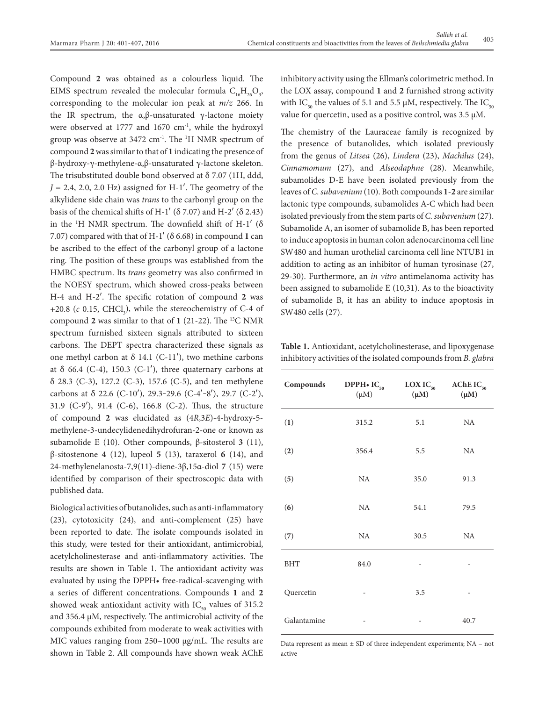Compound **2** was obtained as a colourless liquid. The EIMS spectrum revealed the molecular formula  $C_{16}H_{26}O_3$ , corresponding to the molecular ion peak at *m/z* 266. In the IR spectrum, the  $α, β$ -unsaturated γ-lactone moiety were observed at 1777 and 1670  $cm<sup>-1</sup>$ , while the hydroxyl group was observe at 3472 cm-1. The 1 H NMR spectrum of compound **2** was similar to that of **1** indicating the presence of β-hydroxy-γ-methylene-α,β-unsaturated γ-lactone skeleton. The trisubstituted double bond observed at δ 7.07 (1H, ddd,  $J = 2.4$ , 2.0, 2.0 Hz) assigned for H-1'. The geometry of the alkylidene side chain was *trans* to the carbonyl group on the basis of the chemical shifts of H-1' ( $\delta$  7.07) and H-2' ( $\delta$  2.43) in the  $H$  NMR spectrum. The downfield shift of H-1 $^{\prime}$  ( $\delta$ ) 7.07) compared with that of H-1<sup>'</sup> ( $\delta$  6.68) in compound 1 can be ascribed to the effect of the carbonyl group of a lactone ring. The position of these groups was established from the HMBC spectrum. Its *trans* geometry was also confirmed in the NOESY spectrum, which showed cross-peaks between H-4 and H-2′. The specific rotation of compound **2** was  $+20.8$  (*c* 0.15, CHCl<sub>3</sub>), while the stereochemistry of C-4 of compound **2** was similar to that of **1** (21-22). The 13C NMR spectrum furnished sixteen signals attributed to sixteen carbons. The DEPT spectra characterized these signals as one methyl carbon at δ 14.1 (C-11'), two methine carbons at  $\delta$  66.4 (C-4), 150.3 (C-1'), three quaternary carbons at δ 28.3 (C-3), 127.2 (C-3), 157.6 (C-5), and ten methylene carbons at  $\delta$  22.6 (C-10'), 29.3-29.6 (C-4'-8'), 29.7 (C-2'), 31.9 (C-9′), 91.4 (C-6), 166.8 (C-2). Thus, the structure of compound **2** was elucidated as (4*R*,3*E*)-4-hydroxy-5 methylene-3-undecylidenedihydrofuran-2-one or known as subamolide E (10). Other compounds, β-sitosterol **3** (11), β-sitostenone **4** (12), lupeol **5** (13), taraxerol **6** (14), and 24-methylenelanosta-7,9(11)-diene-3β,15α-diol **7** (15) were identified by comparison of their spectroscopic data with published data.

Biological activities of butanolides, such as anti-inflammatory (23), cytotoxicity (24), and anti-complement (25) have been reported to date. The isolate compounds isolated in this study, were tested for their antioxidant, antimicrobial, acetylcholinesterase and anti-inflammatory activities. The results are shown in Table 1. The antioxidant activity was evaluated by using the DPPH• free-radical-scavenging with a series of different concentrations. Compounds **1** and **2** showed weak antioxidant activity with  $IC_{50}$  values of 315.2 and 356.4 μΜ, respectively. The antimicrobial activity of the compounds exhibited from moderate to weak activities with MIC values ranging from 250−1000 μg/mL. The results are shown in Table 2. All compounds have shown weak AChE inhibitory activity using the Ellman's colorimetric method. In the LOX assay, compound **1** and **2** furnished strong activity with IC<sub>50</sub> the values of 5.1 and 5.5 μM, respectively. The IC<sub>50</sub> value for quercetin, used as a positive control, was 3.5 μM.

The chemistry of the Lauraceae family is recognized by the presence of butanolides, which isolated previously from the genus of *Litsea* (26), *Lindera* (23), *Machilus* (24), *Cinnamomum* (27), and *Alseodaphne* (28). Meanwhile, subamolides D-E have been isolated previously from the leaves of *C. subavenium* (10). Both compounds **1**-**2** are similar lactonic type compounds, subamolides A-C which had been isolated previously from the stem parts of *C. subavenium* (27). Subamolide A, an isomer of subamolide B, has been reported to induce apoptosis in human colon adenocarcinoma cell line SW480 and human urothelial carcinoma cell line NTUB1 in addition to acting as an inhibitor of human tyrosinase (27, 29-30). Furthermore, an *in vitro* antimelanoma activity has been assigned to subamolide E (10,31). As to the bioactivity of subamolide B, it has an ability to induce apoptosis in SW480 cells (27).

**Table 1.** Antioxidant, acetylcholinesterase, and lipoxygenase inhibitory activities of the isolated compounds from *B. glabra* 

| Compounds   | DPPH $\bullet$ IC <sub>50</sub><br>$(\mu M)$ | $LOXIC_{50}$<br>$(\mu M)$ | AChE $IC_{50}$<br>$(\mu M)$ |  |
|-------------|----------------------------------------------|---------------------------|-----------------------------|--|
| (1)         | 315.2<br>5.1                                 |                           | NA                          |  |
| (2)         | 356.4                                        | 5.5                       | NA                          |  |
| (5)         | NA                                           | 35.0                      | 91.3                        |  |
| (6)         | NA                                           | 54.1                      | 79.5                        |  |
| (7)         | NA                                           | 30.5                      | NA                          |  |
| <b>BHT</b>  | 84.0                                         |                           |                             |  |
| Quercetin   | -                                            | 3.5                       |                             |  |
| Galantamine |                                              | -                         | 40.7                        |  |

Data represent as mean ± SD of three independent experiments; NA – not active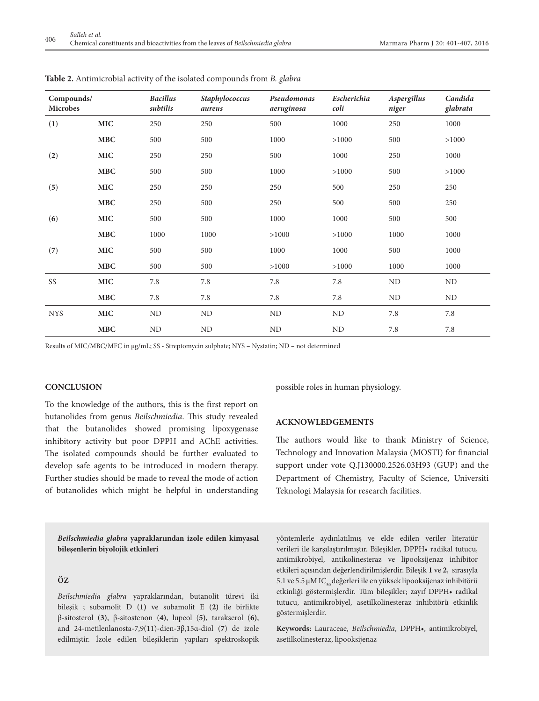| Compounds/<br>Microbes |                                  | <b>Bacillus</b><br>subtilis | Staphylococcus<br>aureus | Pseudomonas<br>aeruginosa | Escherichia<br>coli | Aspergillus<br>niger | Candida<br>glabrata |
|------------------------|----------------------------------|-----------------------------|--------------------------|---------------------------|---------------------|----------------------|---------------------|
| (1)                    | <b>MIC</b>                       | 250                         | 250                      | 500                       | 1000                | 250                  | 1000                |
|                        | <b>MBC</b>                       | 500                         | 500                      | 1000                      | >1000               | 500                  | >1000               |
| (2)                    | <b>MIC</b>                       | 250                         | 250                      | 500                       | 1000                | 250                  | 1000                |
|                        | <b>MBC</b>                       | 500                         | 500                      | 1000                      | >1000               | 500                  | >1000               |
| (5)                    | <b>MIC</b>                       | 250                         | 250                      | 250                       | 500                 | 250                  | 250                 |
|                        | <b>MBC</b>                       | 250                         | 500                      | 250                       | 500                 | 500                  | 250                 |
| (6)                    | <b>MIC</b>                       | 500                         | 500                      | 1000                      | 1000                | 500                  | 500                 |
|                        | <b>MBC</b>                       | 1000                        | 1000                     | >1000                     | >1000               | 1000                 | 1000                |
| (7)                    | <b>MIC</b>                       | 500                         | 500                      | 1000                      | 1000                | 500                  | 1000                |
|                        | $\mathbf{M}\mathbf{B}\mathbf{C}$ | 500                         | 500                      | >1000                     | >1000               | 1000                 | 1000                |
| SS                     | <b>MIC</b>                       | 7.8                         | 7.8                      | 7.8                       | 7.8                 | ND                   | ND                  |
|                        | MBC                              | 7.8                         | 7.8                      | 7.8                       | 7.8                 | ND                   | N <sub>D</sub>      |
| <b>NYS</b>             | MIC                              | $\rm ND$                    | ND                       | <b>ND</b>                 | ND                  | 7.8                  | $7.8\,$             |
|                        | <b>MBC</b>                       | ND                          | <b>ND</b>                | ND                        | ND                  | 7.8                  | 7.8                 |

**Table 2.** Antimicrobial activity of the isolated compounds from *B. glabra*

Results of MIC/MBC/MFC in µg/mL; SS - Streptomycin sulphate; NYS – Nystatin; ND – not determined

#### **CONCLUSION**

To the knowledge of the authors, this is the first report on butanolides from genus *Beilschmiedia*. This study revealed that the butanolides showed promising lipoxygenase inhibitory activity but poor DPPH and AChE activities. The isolated compounds should be further evaluated to develop safe agents to be introduced in modern therapy. Further studies should be made to reveal the mode of action of butanolides which might be helpful in understanding possible roles in human physiology.

# **ACKNOWLEDGEMENTS**

The authors would like to thank Ministry of Science, Technology and Innovation Malaysia (MOSTI) for financial support under vote Q.J130000.2526.03H93 (GUP) and the Department of Chemistry, Faculty of Science, Universiti Teknologi Malaysia for research facilities.

*Beilschmiedia glabra* **yapraklarıından izole edilen kimyasal bileşenlerin biyolojik etkinleri**

## **Öz**

*Beilschmiedia glabra* yapraklarından, butanolit türevi iki bileşik ; subamolit D (**1)** ve subamolit E (**2)** ile birlikte β-sitosterol (**3)**, β-sitostenon (**4)**, lupeol (**5)**, tarakserol (**6)**, and 24-metilenlanosta-7,9(11)-dien-3β,15α-diol (**7**) de izole edilmiştir. İzole edilen bileşiklerin yapıları spektroskopik yöntemlerle aydınlatılmış ve elde edilen veriler literatür verileri ile karşılaştırılmıştır. Bileşikler, DPPH• radikal tutucu, antimikrobiyel, antikolinesteraz ve lipooksijenaz inhibitor etkileri açısından değerlendirilmişlerdir. Bileşik **1** ve **2**, sırasıyla 5.1 ve 5.5 μM IC<sub>50</sub> değerleri ile en yüksek lipooksijenaz inhibitörü etkinliği göstermişlerdir. Tüm bileşikler; zayıf DPPH• radikal tutucu, antimikrobiyel, asetilkolinesteraz inhibitörü etkinlik göstermişlerdir.

**Keywords:** Lauraceae, *Beilschmiedia*, DPPH•, antimikrobiyel, asetilkolinesteraz, lipooksijenaz